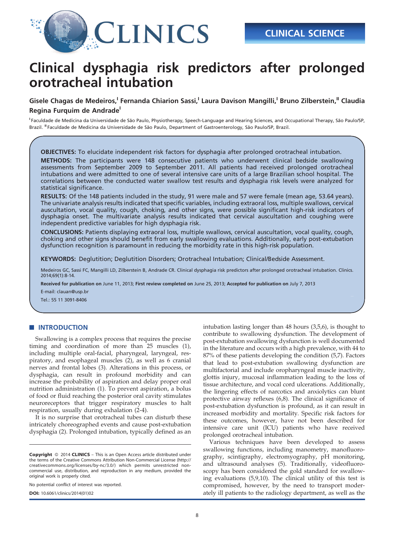

# Clinical dysphagia risk predictors after prolonged orotracheal intubation

Gisele Chagas de Medeiros,<sup>I</sup> Fernanda Chiarion Sassi,<sup>I</sup> Laura Davison Mangilli,<sup>I</sup> Bruno Zilberstein,<sup>II</sup> Claudia Regina Furquim de Andrade<sup>1</sup>

<sup>I</sup> Faculdade de Medicina da Universidade de São Paulo, Physiotherapy, Speech-Language and Hearing Sciences, and Occupational Therapy, São Paulo/SP, Brazil. <sup>II</sup> Faculdade de Medicina da Universidade de São Paulo, Department of Gastroenterology, São Paulo/SP, Brazil.

OBJECTIVES: To elucidate independent risk factors for dysphagia after prolonged orotracheal intubation.

METHODS: The participants were 148 consecutive patients who underwent clinical bedside swallowing assessments from September 2009 to September 2011. All patients had received prolonged orotracheal intubations and were admitted to one of several intensive care units of a large Brazilian school hospital. The correlations between the conducted water swallow test results and dysphagia risk levels were analyzed for statistical significance.

RESULTS: Of the 148 patients included in the study, 91 were male and 57 were female (mean age, 53.64 years). The univariate analysis results indicated that specific variables, including extraoral loss, multiple swallows, cervical auscultation, vocal quality, cough, choking, and other signs, were possible significant high-risk indicators of dysphagia onset. The multivariate analysis results indicated that cervical auscultation and coughing were independent predictive variables for high dysphagia risk.

CONCLUSIONS: Patients displaying extraoral loss, multiple swallows, cervical auscultation, vocal quality, cough, choking and other signs should benefit from early swallowing evaluations. Additionally, early post-extubation dysfunction recognition is paramount in reducing the morbidity rate in this high-risk population.

KEYWORDS: Deglutition; Deglutition Disorders; Orotracheal Intubation; Clinical/Bedside Assessment.

Medeiros GC, Sassi FC, Mangilli LD, Zilberstein B, Andrade CR. Clinical dysphagia risk predictors after prolonged orotracheal intubation. Clinics. 2014;69(1):8-14.

Received for publication on June 11, 2013; First review completed on June 25, 2013; Accepted for publication on July 7, 2013

E-mail: clauan@usp.br

Tel.: 55 11 3091-8406

### **NUMBER OF INT[RODUCTION](#page-5-0)**

Swall[owing is a complex process that requires the precise](#page-5-0) timing [and](#page-5-0) [coordination](#page-5-0) [of](#page-5-0) [more](#page-5-0) [than](#page-5-0) [25](#page-5-0) [muscles](#page-5-0) [\(1\),](#page-5-0) includin[g multiple oral-facial, pharyngeal, laryngeal, res](#page-5-0)piratory, [and](#page-5-0) [esophageal](#page-5-0) [muscles](#page-5-0) [\(2\),](#page-5-0) [as](#page-5-0) [well](#page-5-0) [as](#page-5-0) [6](#page-5-0) [cranial](#page-5-0) nerves a[nd frontal lobes \(3\). Alterations in this process, or](#page-5-0) dysphag[ia,](#page-5-0) [can](#page-5-0) [result](#page-5-0) [in](#page-5-0) [profound](#page-5-0) [morbidity](#page-5-0) [and](#page-5-0) [can](#page-5-0) increase [the probability of aspiration and delay proper oral](#page-5-0) nutritio[n](#page-5-0) [administration](#page-5-0) [\(1\).](#page-5-0) [To](#page-5-0) [prevent](#page-5-0) [aspiration,](#page-5-0) [a](#page-5-0) bolus of food or fluid reaching the posterior oral cavity stimulates neuroreceptors that trigger respiratory muscles to halt respiration, usually [during exhalation \(2-4\).](#page-5-0)

It is no surprise that orotracheal tubes can disturb these intricately choreographed events and cause post-extubation dysphagia (2). Prolonged intubation, typically defined as an

No potential conflict of interest was reported.

DOI: 10.6061/clinics/2014(01)02

i[ntub](#page-5-0)ati[on lasting longer than 48 hours \(3,5,6\), is thought to](#page-5-0) contribu[te](#page-5-0) [to](#page-5-0) [swallowing](#page-5-0) [dysfunction.](#page-5-0) [The](#page-5-0) [development](#page-5-0) [of](#page-5-0) post-ext[ubation swallowing dysfunction is well documented](#page-5-0) in the lit[erature and occurs with a high prevalence, with 44 to](#page-5-0) 87% of t[hese](#page-5-0) [patients](#page-5-0) [developing](#page-5-0) [the](#page-5-0) [condition](#page-5-0) [\(5,7\).](#page-5-0) [Factors](#page-5-0) that lea[d to post-extubation swallowing dysfunction are](#page-5-0) multifac[torial and include oropharyngeal muscle inactivity,](#page-5-0) glottis i[njury,](#page-5-0) [mucosal](#page-5-0) [inflammation](#page-5-0) [leading](#page-5-0) [to](#page-5-0) [the](#page-5-0) [loss](#page-5-0) [of](#page-5-0) tissue ar[chitecture, and vocal cord ulcerations. Additionally,](#page-5-0) the ling[ering effects of narcotics and anxiolytics can blunt](#page-5-0) protecti[ve](#page-5-0) [airway](#page-5-0) [reflexes](#page-5-0) [\(6,8\).](#page-5-0) [The](#page-5-0) [clinical](#page-5-0) [significance](#page-5-0) [of](#page-5-0) post-ext[ubation dysfunction is profound, as it can result in](#page-5-0) increase[d morbidity and mortality. Specif](#page-5-0)ic risk factors for these outcomes, however, have not been described for intensive care unit (ICU) patients who have received prolonged orotracheal intubation.

Various techniques have been [developed to assess](#page-5-0) swallow[ing functions, including manometry, manofluoro](#page-5-0)graphy, [scintigraphy, electromyography, pH monitoring,](#page-5-0) and ult[rasound](#page-5-0) [analyses](#page-5-0) [\(5\).](#page-5-0) [Traditionally,](#page-5-0) [videofluoro](#page-5-0)scopy h[as been considered the gold standard for swallow](#page-5-0)ing evaluations (5,9,10). The clinical utility of this test is compromised, however, by the need to transport moderately ill patients to the radiology department, as well as the

Copyright © 2014 CLINICS - This is an Open Access article distributed under the terms of the Creative Commons Attribution Non-Commercial License (http:// creativecommons.org/licenses/by-nc/3.0/) which permits unrestricted noncommercial use, distribution, and reproduction in any medium, provided the original work is properly cited.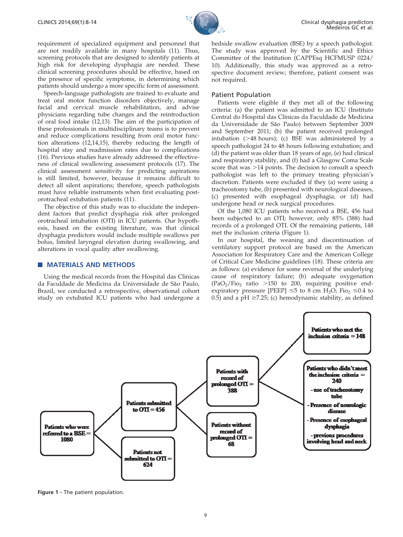

require[ment of specialized equipment and personnel that](#page-5-0) are not [readily](#page-5-0) [available](#page-5-0) [in](#page-5-0) [many](#page-5-0) [hospitals](#page-5-0) [\(11\).](#page-5-0) [Thus,](#page-5-0) screenin[g protocols that are designed to identify patients at](#page-5-0) high ris[k](#page-5-0) [for](#page-5-0) [developing](#page-5-0) [dysphagia](#page-5-0) [are](#page-5-0) [needed.](#page-5-0) [These](#page-5-0) clinical screening procedures should be effective, based on the presence of specific symptoms, in determining which patients should undergo a more specific form of assessment.

Speech-language pathologists are trained to evaluate and treat oral motor function [disorders objectively, manage](#page-5-0) facial a[nd](#page-5-0) [cervical](#page-5-0) [muscle](#page-5-0) [rehabilitation,](#page-5-0) [and](#page-5-0) [advise](#page-5-0) physicia[ns regarding tube changes and the reintroduction](#page-5-0) of oral f[ood](#page-5-0) [intake](#page-5-0) [\(12,13\).](#page-5-0) [The](#page-5-0) [aim](#page-5-0) [of](#page-5-0) [the](#page-5-0) [participation](#page-5-0) [of](#page-5-0) these pr[ofessionals](#page-5-0) [in](#page-5-0) [multidisciplinary](#page-5-0) [teams](#page-5-0) [is](#page-5-0) [to](#page-5-0) [prevent](#page-5-0) and red[uce](#page-5-0) [complications](#page-5-0) [resulting](#page-5-0) [from](#page-5-0) [oral](#page-5-0) [motor](#page-5-0) [func](#page-5-0)tion alt[erations](#page-5-0) [\(12,14,15\),](#page-5-0) [thereby](#page-5-0) [reducing](#page-5-0) [the](#page-5-0) [length](#page-5-0) [of](#page-5-0) hospital [stay](#page-5-0) [and](#page-5-0) [readmission](#page-5-0) [rates](#page-5-0) [due](#page-5-0) [to](#page-5-0) [complications](#page-5-0) (16). Pre[vious](#page-5-0) [studies](#page-5-0) [have](#page-5-0) [already](#page-5-0) [addressed](#page-5-0) [the](#page-5-0) [effective](#page-5-0)ness of [clinical](#page-5-0) [swallowing](#page-5-0) [assessment](#page-5-0) [protocols](#page-5-0) [\(17\).](#page-5-0) [The](#page-5-0) clinical [assessment](#page-5-0) [sensitivity](#page-5-0) [for](#page-5-0) [predicting](#page-5-0) [aspirations](#page-5-0) is still l[imited, however, because it remai](#page-5-0)ns difficult to detect all silent aspirations; therefore, speech pathologists must have reliable instruments when first evaluating postorotracheal extubation patients (11).

The objective of this study was to elucidate the independent factors that predict dysphagia risk after prolonged orotracheal intubation (OTI) in ICU patients. Our hypothesis, based on the existing literature, was that clinical dysphagia predictors would include multiple swallows per bolus, limited laryngeal elevation during swallowing, and alterations in vocal quality after swallowing.

#### **MATERIALS AND METHODS**

Using the medical records from the Hospital das Clinicas da Faculdade de Medicina da Universidade de São Paulo, Brazil, we conducted a retrospective, observational cohort study on extubated ICU patients who had undergone a

bedside swallow evaluation (BSE) by a speech pathologist. The study was approved by the Scientific and Ethics Committee of the Institution (CAPPEsq HCFMUSP 0224/ 10). Additionally, this study was approved as a retrospective document review; therefore, patient consent was not required.

#### Patient Population

Patients were eligible if they met all of the following criteria: (a) the patient was admitted to an ICU (Instituto Central do Hospital das Clínicas da Faculdade de Medicina da Universidade de São Paulo) between September 2009 and September 2011; (b) the patient received prolonged intubation ( $>48$  hours); (c) BSE was administered by a speech pathologist 24 to 48 hours following extubation; and (d) the patient was older than 18 years of age, (e) had clinical and respiratory stability, and (f) had a Glasgow Coma Scale score that was  $>14$  points. The decision to consult a speech pathologist was left to the primary treating physician's discretion. Patients were excluded if they (a) were using a tracheostomy tube, (b) presented with neurological diseases, (c) presented with esophageal dysphagia, or (d) had undergone head or neck surgical procedures.

Of the 1,080 ICU patients who received a BSE, 456 had been subjected to an OTI; however, only 85% (388) had records of a prolonged OTI. Of the remaining patients, 148 met the inclusion criteria (Figure 1).

In our hospital, the weaning and disco[ntinuation of](#page-5-0) ventilat[ory support protocol are based on the American](#page-5-0) Associat[ion for Respiratory Care and the American College](#page-5-0) of Critic[al Care Medicine guidelines \(18\). These criteria are](#page-5-0) as follo[ws: \(a\) evidence for some reversal of the underlying](#page-5-0) cause o[f respiratory failure; \(b\) adequate oxygenation](#page-5-0)  $(PaO<sub>2</sub>/Fi<sub>2</sub>$  ratio >150 to 200, requiring positive endexpiratory pressure [PEEP]  $\leq$ 5 to 8 cm H<sub>2</sub>O; Fio<sub>2</sub>  $\leq$ 0.4 to 0.5) and a pH  $\geq$ 7.25; (c) hemodynamic stability, as defined



Figure 1 - The patient population.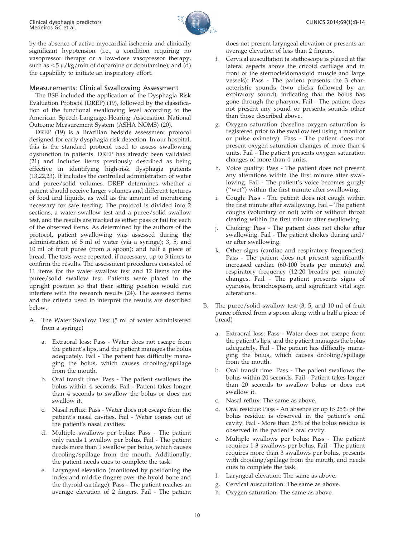

by the a[bsence of active myocardial ischemia and clinically](#page-5-0) significa[nt hypotension \(i.e., a condition requirin](#page-5-0)g no vasopressor therapy or a low-dose vasopressor therapy, such as  $\langle 5 \mu/kg/min$  of dopamine or dobutamine); and (d) the capability to initiate an inspiratory effort.

# Measur[ements: Clinical Swallowing Assessment](#page-5-0)

The B[SE included the application of the Dysphagia Risk](#page-5-0) Evaluati[on Protocol \(DREP\) \(19\), followed by the classifica](#page-5-0)tion of the functi[onal swallowing level according to the](#page-5-0) America[n Speech-Language-Hearing Association National](#page-5-0) Outcom[e Measurement System \(ASHA NOMS\) \(20\).](#page-5-0)

DREP [\(19\) is a Brazilian bedside assessment protocol](#page-5-0) designe[d for early dysphagia risk detection. In our hospital,](#page-5-0) this is t[he standard protocol used to assess swallowing](#page-5-0) dysfunc[tion in patients. DREP has already been validated](#page-5-0) (21) an[d includes items previously described as being](#page-5-0) effective [in identifying high-risk dysphagia patients](#page-5-0) (13,22,23[\). It includes the controlled administration of water](#page-5-0) and pu[ree/solid volumes. DREP determines whether a](#page-5-0) patient s[hould receive larger volumes and different textures](#page-5-0) of food [and liquids, as well as the amount of monitoring](#page-5-0) necessar[y for safe feeding. The protocol is divided into 2](#page-5-0) sections, [a water swallow test and a puree/solid swallow](#page-5-0) test, and [the results are marked as either pass or fail for each](#page-5-0) of the o[bserved items. As determined by the authors of the](#page-5-0) protocol[, patient swallowing was assessed during the](#page-5-0) adminis[tration of 5 ml of water \(via a syringe\); 3, 5, and](#page-5-0) 10 ml o[f fruit puree \(from a spoon\); and half a piece of](#page-5-0) bread. T[he tests were repeated, if necessary, up to 3 times to](#page-5-0) confirm [the results. The assessment procedures consisted of](#page-5-0) 11 items [for the water swallow test and 12 items for the](#page-5-0) puree/s[olid swallow test. Patients were placed in the](#page-5-0) upright [positio](#page-5-0)n so that their sitting position would not interfere with the research results (24). The assessed items and the criteria used to interpret the results are described below.

- A. The Water Swallow Test (5 ml of water administered from a syringe)
	- a. Extraoral loss: Pass Water does not escape from the patient's lips, and the patient manages the bolus adequately. Fail - The patient has difficulty managing the bolus, which causes drooling/spillage from the mouth.
	- b. Oral transit time: Pass The patient swallows the bolus within 4 seconds. Fail - Patient takes longer than 4 seconds to swallow the bolus or does not swallow it.
	- c. Nasal reflux: Pass Water does not escape from the patient's nasal cavities. Fail - Water comes out of the patient's nasal cavities.
	- d. Multiple swallows per bolus: Pass The patient only needs 1 swallow per bolus. Fail - The patient needs more than 1 swallow per bolus, which causes drooling/spillage from the mouth. Additionally, the patient needs cues to complete the task.
	- e. Laryngeal elevation (monitored by positioning the index and middle fingers over the hyoid bone and the thyroid cartilage): Pass - The patient reaches an average elevation of 2 fingers. Fail - The patient

does not present laryngeal elevation or presents an average elevation of less than 2 fingers.

- f. Cervical auscultation (a stethoscope is placed at the lateral aspects above the cricoid cartilage and in front of the sternocleidomastoid muscle and large vessels): Pass - The patient presents the 3 characteristic sounds (two clicks followed by an expiratory sound), indicating that the bolus has gone through the pharynx. Fail - The patient does not present any sound or presents sounds other than those described above.
- g. Oxygen saturation (baseline oxygen saturation is registered prior to the swallow test using a monitor or pulse oximetry): Pass - The patient does not present oxygen saturation changes of more than 4 units. Fail - The patient presents oxygen saturation changes of more than 4 units.
- h. Voice quality: Pass The patient does not present any alterations within the first minute after swallowing. Fail - The patient's voice becomes gurgly (''wet'') within the first minute after swallowing.
- i. Cough: Pass The patient does not cough within the first minute after swallowing. Fail – The patient coughs (voluntary or not) with or without throat clearing within the first minute after swallowing.
- Choking: Pass The patient does not choke after swallowing. Fail - The patient chokes during and/ or after swallowing.
- k. Other signs (cardiac and respiratory frequencies): Pass - The patient does not present significantly increased cardiac (60-100 beats per minute) and respiratory frequency (12-20 breaths per minute) changes. Fail - The patient presents signs of cyanosis, bronchospasm, and significant vital sign alterations.
- The puree/solid swallow test  $(3, 5,$  and  $10 \text{ ml of fruit})$ puree offered from a spoon along with a half a piece of bread)
	- a. Extraoral loss: Pass Water does not escape from the patient's lips, and the patient manages the bolus adequately. Fail - The patient has difficulty managing the bolus, which causes drooling/spillage from the mouth.
	- b. Oral transit time: Pass The patient swallows the bolus within 20 seconds. Fail - Patient takes longer than 20 seconds to swallow bolus or does not swallow it.
	- c. Nasal reflux: The same as above.
	- d. Oral residue: Pass An absence or up to 25% of the bolus residue is observed in the patient's oral cavity. Fail - More than 25% of the bolus residue is observed in the patient's oral cavity.
	- e. Multiple swallows per bolus: Pass The patient requires 1-3 swallows per bolus. Fail - The patient requires more than 3 swallows per bolus, presents with drooling/spillage from the mouth, and needs cues to complete the task.
	- f. Laryngeal elevation: The same as above.
	- g. Cervical auscultation: The same as above.
	- h. Oxygen saturation: The same as above.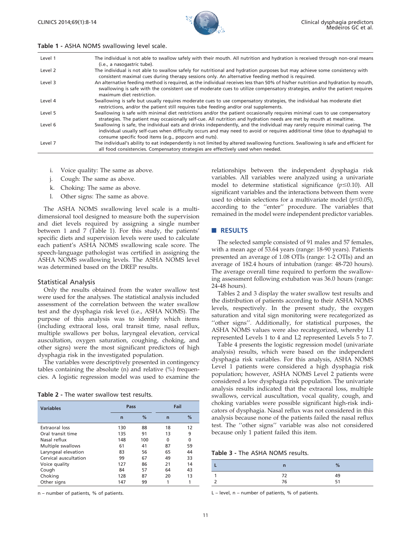

#### Table 1 - ASHA NOMS swallowing level scale.

| Level 1 | The individual is not able to swallow safely with their mouth. All nutrition and hydration is received through non-oral means<br>(i.e., a nasogastric tube).                                                                                                                                                        |
|---------|---------------------------------------------------------------------------------------------------------------------------------------------------------------------------------------------------------------------------------------------------------------------------------------------------------------------|
| Level 2 | The individual is not able to swallow safely for nutritional and hydration purposes but may achieve some consistency with<br>consistent maximal cues during therapy sessions only. An alternative feeding method is required.                                                                                       |
| Level 3 | An alternative feeding method is required, as the individual receives less than 50% of his/her nutrition and hydration by mouth,<br>swallowing is safe with the consistent use of moderate cues to utilize compensatory strategies, and/or the patient requires<br>maximum diet restriction.                        |
| Level 4 | Swallowing is safe but usually requires moderate cues to use compensatory strategies, the individual has moderate diet<br>restrictions, and/or the patient still requires tube feeding and/or oral supplements.                                                                                                     |
| Level 5 | Swallowing is safe with minimal diet restrictions and/or the patient occasionally requires minimal cues to use compensatory<br>strategies. The patient may occasionally self-cue. All nutrition and hydration needs are met by mouth at mealtime.                                                                   |
| Level 6 | Swallowing is safe, the individual eats and drinks independently, and the individual may rarely require minimal cueing. The<br>individual usually self-cues when difficulty occurs and may need to avoid or requires additional time (due to dysphagia) to<br>consume specific food items (e.g., popcorn and nuts). |
| Level 7 | The individual's ability to eat independently is not limited by altered swallowing functions. Swallowing is safe and efficient for<br>all food consistencies. Compensatory strategies are effectively used when needed.                                                                                             |

- i. Voice quality: The same as above.
- j. Cough: The same as above.
- k. Choking: The same as above.
- l. Other signs: The same as above.

The ASHA NOMS swallowing level scale is a multidimensional tool designed to measure both the supervision and diet levels required by assigning a single number between 1 and 7 (Table 1). For this study, the patients' specific diets and supervision levels were used to calculate each patient's ASHA NOMS swallowing scale score. The speech-language pathologist was certified in assigning the ASHA NOMS swallowing levels. The ASHA NOMS level was determined based on the DREP results.

#### Statistical Analysis

Only the results obtained from the water swallow test were used for the analyses. The statistical analysis included assessment of the correlation between the water swallow test and the dysphagia risk level (i.e., ASHA NOMS). The purpose of this analysis was to identify which items (including extraoral loss, oral transit time, nasal reflux, multiple swallows per bolus, laryngeal elevation, cervical auscultation, oxygen saturation, coughing, choking, and other signs) were the most significant predictors of high dysphagia risk in the investigated population.

The variables were descriptively presented in contingency tables containing the absolute (n) and relative (%) frequencies. A logistic regression model was used to examine the

| Table 2 - The water swallow test results. |  |
|-------------------------------------------|--|
|-------------------------------------------|--|

| <b>Variables</b>      | Pass           |     | Fail           |    |
|-----------------------|----------------|-----|----------------|----|
|                       | $\overline{ }$ | %   | $\overline{ }$ | %  |
| Extraoral loss        | 130            | 88  | 18             | 12 |
| Oral transit time     | 135            | 91  | 13             | 9  |
| Nasal reflux          | 148            | 100 | 0              | 0  |
| Multiple swallows     | 61             | 41  | 87             | 59 |
| Laryngeal elevation   | 83             | 56  | 65             | 44 |
| Cervical auscultation | 99             | 67  | 49             | 33 |
| Voice quality         | 127            | 86  | 21             | 14 |
| Cough                 | 84             | 57  | 64             | 43 |
| Choking               | 128            | 87  | 20             | 13 |
| Other signs           | 147            | 99  |                | 1  |

n – number of patients, % of patients.

relationships between the independent dysphagia risk variables. All variables were analyzed using a univariate model to determine statistical significance ( $p \le 0.10$ ). All significant variables and the interactions between them were used to obtain selections for a multivariate model ( $p \le 0.05$ ), according to the ''enter'' procedure. The variables that remained in the model were independent predictor variables.

#### **RESULTS**

The selected sample consisted of 91 males and 57 females, with a mean age of 53.64 years (range: 18-90 years). Patients presented an average of 1.08 OTIs (range: 1-2 OTIs) and an average of 182.4 hours of intubation (range: 48-720 hours). The average overall time required to perform the swallowing assessment following extubation was 36.0 hours (range: 24-48 hours).

Tables 2 and 3 display the water swallow test results and the distribution of patients according to their ASHA NOMS levels, respectively. In the present study, the oxygen saturation and vital sign monitoring were recategorized as ''other sig[ns''. Additionally, for statistical purposes, the](#page-4-0) ASHA [NOMS values were also recategorized, whereby L1](#page-4-0) represe[nted Levels 1 to 4 and L2 represented Levels 5 to 7.](#page-4-0)

Table [4 presents the logistic regression model \(univariate](#page-4-0) analysis[\) results, which were based on the independent](#page-4-0) dyspha[gia risk variables. For this analysis, ASHA NOMS](#page-4-0) Level 1 [patients were considered a high dysphagia risk](#page-4-0) populati[on; however, ASHA NOMS Level 2 patients were](#page-4-0) consider[ed a low dysphagia risk population. The univariate](#page-4-0) analysis [results indicated that the extraoral loss, multiple](#page-4-0) swallow[s, cervical auscultation, vocal quality, cough, and](#page-4-0) choking [variables were possible significant high-risk indi](#page-4-0)cators of [dysphagia. Nasal reflux was not consid](#page-4-0)ered in this analysis because none of the patients failed the nasal reflux test. The ''other signs'' variable was also not considered because only 1 patient failed this item.

#### Table 3 - The ASHA NOMS results.

|   | $\mathsf{n}$ | %        |  |
|---|--------------|----------|--|
|   | 72           | 49<br>51 |  |
| ٠ | 76           |          |  |

 $L$  – level,  $n$  – number of patients, % of patients.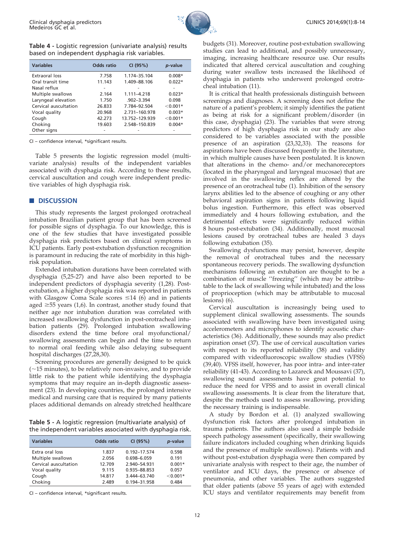

# <span id="page-4-0"></span>Table 4 - Logistic regression (univariate analysis) results based on independent dysphagia risk variables.

| <b>Variables</b>      | <b>Odds ratio</b> | CI (95%)        | p-value    |
|-----------------------|-------------------|-----------------|------------|
| Extraoral loss        | 7.758             | 1.174-35.104    | $0.008*$   |
| Oral transit time     | 11.143            | 1.409-88.106    | $0.022*$   |
| Nasal reflux          |                   |                 |            |
| Multiple swallows     | 2.164             | $1.111 - 4.218$ | $0.023*$   |
| Laryngeal elevation   | 1.750             | $.902 - 3.394$  | 0.098      |
| Cervical auscultation | 26.833            | 7.784-92.504    | $< 0.001*$ |
| Vocal quality         | 20.968            | 2.731-160.978   | $0.003*$   |
| Cough                 | 42.273            | 13.752-129.939  | $< 0.001*$ |
| Choking               | 19.603            | 2.548-150.839   | $0.004*$   |
| Other signs           |                   |                 |            |

CI – confidence interval, \*significant results.

Table 5 presents the logistic regression model (multivariate analysis) results of the independent variables associated with dysphagia risk. According to these results, cervical auscultation and cough were independent predictive variables of high dysphagia risk.

## **DISCUSSION**

This study represents the largest prolonged orotracheal intubation Brazilian patient group that has been screened for possible signs of dysphagia. To our knowledge, this is one of the few studies that have investigated possible dysphagia risk predictors based on clinical symptoms in ICU patients. Early post-extubation dysfunction recognition is para[mount in reducing the rate of morbidity in this high](#page-5-0)risk population.

Exten[ded intubation durations have been correlated with](#page-5-0) dysphag[ia](#page-5-0) [\(5,25-27\)](#page-5-0) [and](#page-5-0) [have](#page-5-0) [also](#page-5-0) [been](#page-5-0) [reported](#page-5-0) [to](#page-5-0) [be](#page-5-0) indepen[dent predictors of dysphagia severity \(1,28\). Post](#page-5-0)extubati[on,](#page-5-0) [a](#page-5-0) [higher](#page-5-0) [dysphagia](#page-5-0) [risk](#page-5-0) [was](#page-5-0) [reported](#page-5-0) [in](#page-5-0) [patients](#page-5-0) with Gl[asgow Coma Scale scores](#page-5-0)  $\leq$ 14 (6) and in patients aged  $\geq 55$  $\geq 55$  $\geq 55$  [years](#page-6-0) [\(1,6\).](#page-6-0) [In](#page-6-0) [contrast,](#page-6-0) [another](#page-6-0) [study](#page-6-0) [found](#page-6-0) [that](#page-6-0) neither [age nor intubation duration was correlated with](#page-6-0) increase[d](#page-6-0) [swallowing](#page-6-0) [dysfunction](#page-6-0) [in](#page-6-0) [post-orotracheal](#page-6-0) [intu](#page-6-0)bation [patients](#page-6-0) [\(29\).](#page-6-0) [Prolonged](#page-6-0) [intubation](#page-6-0) [swallowing](#page-6-0) di[s](#page-6-0)orders [extend](#page-6-0) [the](#page-6-0) [time](#page-6-0) [before](#page-6-0) [o](#page-6-0)ral myofunctional/ swallowing assessments can begin and the time to return to normal oral feeding while also delaying subsequent hospital discharges (27,28,30).

Screening procedures are generally designed to be quick  $(-15$  minutes), [to be relatively non-invasive, and to provide](#page-5-0) little ris[k](#page-5-0) [to](#page-5-0) [the](#page-5-0) [patient](#page-5-0) [while](#page-5-0) [identifying](#page-5-0) [the](#page-5-0) [dysphagia](#page-5-0) sympto[ms that may require an in-depth diagnostic assess](#page-5-0)ment (23). In developing countries, the prolonged intensive medical and nursing care that is required by many patients places additional demands on already stretched healthcare

Table 5 - A logistic regression (multivariate analysis) of the independent variables associated with dysphagia risk.

| <b>Variables</b>      | <b>Odds</b> ratio | CI (95%)     | p-value    |
|-----------------------|-------------------|--------------|------------|
| Extra oral loss       | 1.837             | 0.192-17.574 | 0.598      |
| Multiple swallows     | 2.056             | 0.698-6.059  | 0.191      |
| Cervical auscultation | 12.709            | 2.940-54.931 | $0.001*$   |
| Vocal quality         | 9.115             | 0.935-88.853 | 0.057      |
| Cough                 | 14.817            | 3.444-63.740 | $< 0.001*$ |
| Choking               | 2.489             | 0.194-31.958 | 0.484      |

CI – confidence interval, \*significant results.

budgets [\(31\).](#page-6-0) [Moreover,](#page-6-0) [routine](#page-6-0) [post-extubation](#page-6-0) [swallowing](#page-6-0) studies [can](#page-6-0) [lead](#page-6-0) [to](#page-6-0) [additional,](#page-6-0) [and](#page-6-0) [possibly](#page-6-0) [unnecessary,](#page-6-0) imaging[,](#page-6-0) [increasing](#page-6-0) [healthcare](#page-6-0) [resource](#page-6-0) [use.](#page-6-0) [Our](#page-6-0) [results](#page-6-0) indicate[d](#page-5-0) [that](#page-5-0) [altered](#page-5-0) [cervica](#page-5-0)l auscultation and coughing during water swallow tests increased the likelihood of dysphagia in patients who underwent prolonged orotracheal intubation (11).

It is critical that health professionals distinguish between screenings and diagnoses. A sc[reening](#page-5-0) [does](#page-5-0) [not](#page-5-0) [define](#page-5-0) [the](#page-5-0) nature o[f a patient's problem; it simply identifies the patient](#page-5-0) as bein[g](#page-5-0) [at](#page-5-0) [risk](#page-5-0) [for](#page-5-0) [a](#page-5-0) [significant](#page-5-0) [problem/disorder](#page-5-0) [\(in](#page-5-0) this cas[e,](#page-5-0) [dysphagia\)](#page-5-0) [\(23\).](#page-5-0) [The](#page-5-0) [variables](#page-5-0) [that](#page-5-0) [were](#page-5-0) [strong](#page-5-0) predicto[rs](#page-5-0) [of](#page-5-0) [high](#page-5-0) [dysphagia](#page-5-0) [risk](#page-5-0) [in](#page-5-0) [our](#page-5-0) [study](#page-5-0) [are](#page-5-0) [also](#page-5-0) consider[ed](#page-5-0) [to](#page-5-0) [be](#page-5-0) [variables](#page-5-0) [associated](#page-5-0) [with](#page-5-0) [the](#page-5-0) [possible](#page-5-0) presenc[e](#page-5-0) [of](#page-5-0) [an](#page-5-0) [aspiration](#page-5-0) [\(23,32,33\).](#page-5-0) [The](#page-5-0) [reasons](#page-5-0) [for](#page-5-0) aspirati[ons](#page-5-0) [have](#page-5-0) [been](#page-5-0) [discussed](#page-5-0) [frequently](#page-5-0) [in](#page-5-0) [the](#page-5-0) [literature,](#page-5-0) in whic[h](#page-5-0) [multiple](#page-5-0) [causes](#page-5-0) [have](#page-5-0) [been](#page-5-0) [postulated.](#page-5-0) [It](#page-5-0) [is](#page-5-0) [known](#page-5-0) that alt[erations](#page-5-0) [in](#page-5-0) [the](#page-5-0) [chemo-](#page-5-0) [and/or](#page-5-0) [mechanoreceptors](#page-5-0) (located [in](#page-5-0) [the](#page-5-0) [pharyngeal](#page-5-0) [and](#page-5-0) [laryngeal](#page-5-0) [mucosae\)](#page-5-0) [that](#page-5-0) [are](#page-5-0) involve[d](#page-5-0) [in](#page-5-0) [the](#page-5-0) [swallowing](#page-5-0) [reflex](#page-5-0) [are](#page-5-0) [altered](#page-5-0) [by](#page-5-0) [the](#page-5-0) presenc[e of an orotracheal tube \(1\). Inhibition of the sensory](#page-5-0) larynx a[bilities](#page-5-0) [led](#page-5-0) [to](#page-5-0) [the](#page-5-0) [absence](#page-5-0) [of](#page-5-0) [coughing](#page-5-0) [or](#page-5-0) [any](#page-5-0) [other](#page-5-0) behavio[ral aspiration signs in patients following liquid](#page-5-0) bolus i[ngestion.](#page-6-0) [Furthermore,](#page-6-0) [this](#page-6-0) [effect](#page-6-0) [was](#page-6-0) [observed](#page-6-0) immedi[ately and 4 hours following extubation, and the](#page-6-0) detrime[ntal](#page-6-0) [effects](#page-6-0) [were](#page-6-0) [signifi](#page-6-0)cantly reduced within 8 hours post-extubation (34). Additionally, most mucosal lesions caused by orotracheal tubes are healed 3 days following extubation (35).

Swallowing dysfunctions may persist, however, despite the removal of orotracheal tubes and the necessary spontaneous recovery periods. The swallowing dysfunction mechanisms following an extubation are thought to be a combination of [mus](#page-5-0)cle "freezing" (which may be attributable to the lack of swallowing while intubated) and the loss of proprioception (which may be attributable to mucosal lesions) (6).

Cervical auscultation is increasingly being used to supplement clinica[l swallowing assessments. The sounds](#page-6-0) associat[ed](#page-6-0) [with](#page-6-0) [swallowing](#page-6-0) [have](#page-6-0) [been](#page-6-0) [investigated](#page-6-0) [using](#page-6-0) accelero[meters](#page-6-0) [and](#page-6-0) [microphones](#page-6-0) [to](#page-6-0) [identify](#page-6-0) [acoustic](#page-6-0) [char](#page-6-0)acteristi[cs](#page-6-0) [\(36\).](#page-6-0) [Additionally,](#page-6-0) [these](#page-6-0) [sounds](#page-6-0) [may](#page-6-0) [also](#page-6-0) [predict](#page-6-0) aspirati[on onset \(37\). The use of cervical auscultation varies](#page-6-0) with re[spect](#page-6-0) [to](#page-6-0) [its](#page-6-0) [reported](#page-6-0) [reliability](#page-6-0) [\(38\)](#page-6-0) [and](#page-6-0) [validity](#page-6-0) compare[d with videofluoroscopic swallow studies \(VFSS\)](#page-6-0) (39,40). [VFSS](#page-6-0) [itself,](#page-6-0) [however,](#page-6-0) [has](#page-6-0) [poor](#page-6-0) [intra-](#page-6-0) [and](#page-6-0) [inter-rater](#page-6-0) reliabilit[y \(41-43\). According to Lazareck and Moussavi \(37\),](#page-6-0) swallow[ing](#page-6-0) [sound](#page-6-0) [assessments](#page-6-0) [have](#page-6-0) [great](#page-6-0) [potential](#page-6-0) [to](#page-6-0) reduce t[he need for VFSS and to assist in ove](#page-6-0)rall clinical swallowing assessments. It is clear from t[he](#page-5-0) [literature](#page-5-0) [that,](#page-5-0) despite [the methods used to assess swallowing, providing](#page-5-0) the nece[ssary training is indispensable.](#page-5-0)

A stu[dy](#page-5-0) [by](#page-5-0) [Bordon](#page-5-0) [et](#page-5-0) [al.](#page-5-0) [\(1\)](#page-5-0) [analyzed](#page-5-0) [swallowing](#page-5-0) dysfunc[tion risk factors after prolonged intubation in](#page-5-0) trauma [patients.](#page-5-0) [The](#page-5-0) [authors](#page-5-0) [also](#page-5-0) [used](#page-5-0) [a](#page-5-0) [simple](#page-5-0) [bedside](#page-5-0) speech [pathology assessment \(specifically, their swallowing](#page-5-0) failure i[ndicators](#page-5-0) [included](#page-5-0) [coughing](#page-5-0) [when](#page-5-0) [drinking](#page-5-0) [liquids](#page-5-0) and the [presence of multiple swallows\). Patients with and](#page-5-0) without [post-extubation](#page-5-0) [dysphagia](#page-5-0) [were](#page-5-0) [then](#page-5-0) [compared](#page-5-0) [by](#page-5-0) univaria[te analysis with respect to their age, the number of](#page-5-0) ventilat[or](#page-5-0) [and](#page-5-0) [ICU](#page-5-0) [days,](#page-5-0) [the](#page-5-0) [presence](#page-5-0) [or](#page-5-0) [absence](#page-5-0) [of](#page-5-0) pneumonia, and other variables. The authors suggested that older patients (above 55 years of age) with extended ICU stays and ventilator requirements may benefit from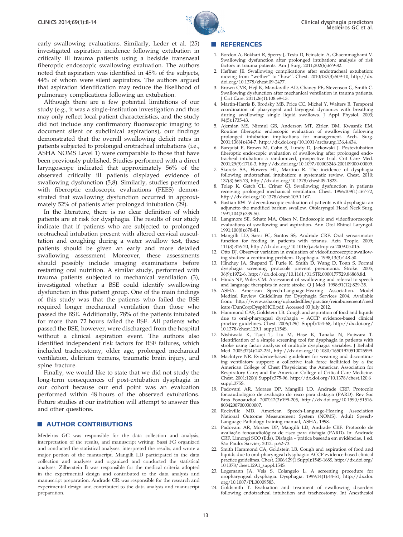

<span id="page-5-0"></span>early s[wallowing evaluations. Similarly, Leder et al. \(25\)](#page-6-0) investig[ated aspiration incidence following extubation in](#page-6-0) criticall[y ill trauma patients using a bedside transnasal](#page-6-0) fiberopti[c endoscopic swallowing evaluation. The authors](#page-6-0) noted th[at aspiration was identified in 45% of the subjects,](#page-6-0) 44% of whom were silent aspirators. The authors argued that aspiration identification may reduce the likelihood of pulmonary complications following an extubation.

Although there are a few potential limitations of our study (e.g., it was a single-institution investigation and thus may only reflect local patient characteristics, and the study did not include any confirmatory fluoroscopic imaging to document silent or subclinical aspirations), our findings demonstrated that the overall swallowing deficit rates in patients subjected to prolonged orotracheal intubations (i.e., ASHA NOMS Level 1) were comparable to those that have been previously published. Studies performed with a direct laryngoscope indicated that approximately 56% of the observed critically ill patients displayed evidence of swallow[ing dysfunction \(5,8\). Similarly, studies performed](#page-6-0) with fiberoptic endoscopic evaluations (FEES) demonstrated that swallowing dysfunction occurred in approximately 52% of patients after prolonged intubation (29).

In the literature, there is no clear definition of which patients are at risk for dysphagia. The results of our study indicate that if patients who are subjected to prolonged orotracheal intubation present with altered cervical auscultation and coughing during a water swallow test, these patients should be given an early and more detailed swallowing assessment. Moreover, these assessments should possibly include imaging examinations before restarting oral nutrition. A similar study, performed with trauma patients subjected to mechanical ventilation (3), investigated whether a BSE could identify swallowing dysfunction in this patient group. One of the main findings of this study was that the patients who failed the BSE required longer mechanical ventilation than those who passed the BSE. Additionally, 78% of the patients intubated for more than 72 hours failed the BSE. All patients who passed the BSE, however, were discharged from the hospital without a clinical aspiration event. The authors also identified independent risk factors for BSE failures, which included tracheostomy, older age, prolonged mechanical ventilation, delirium tremens, traumatic brain injury, and spine fracture.

Finally, we would like to state that we did not study the long-term consequences of post-extubation dysphagia in our cohort because our end point was an evaluation performed within 48 hours of the observed extubations. Future studies at our institution will attempt to answer this and other questions.

## **AUTHOR CONTRIBUTIONS**

Medeiros GC was responsible for the data collection and analysis, interpretation of the results, and manuscript writing. Sassi FC organized and conducted the statistical analyses, interpreted the results, and wrote a major portion of the manuscript. Mangilli LD participated in the data collection and analyses and organized and conducted the statistical analyses. Zilberstein B was responsible for the medical criteria adopted in the experimental design and contributed to the data analysis and manuscript preparation. Andrade CR was responsible for the research and experimental design and contributed to the data analysis and manuscript preparation.

#### **REFERENCES**

- 1. Bordon A, Bokhari R, Sperry J, Testa D, Feinstein A, Ghaemmaghami V. Swallowing dysfunction after prolonged intubation: analysis of risk factors in trauma patients. Am J Surg. 2011;202(6):679-82.
- 2. Heffner JE. Swallowing complications after endotracheal extubation: moving from ''wether'' to ''how''. Chest. 2010;137(3):509-10, http://dx. doi.org/10.1378/chest.09-2477.
- 3. Brown CVR, Hejl K, Mandaville AD, Chaney PE, Stevenson G, Smith C. Swallowing dysfunction after mechanical ventilation in trauma patients. J Crit Care. 2011;26(1):108.e9-13.
- 4. Martin-Harris B, Brodsky MB, Price CC, Michel Y, Walters B. Temporal coordination of pharyngeal and laryngeal dynamics with breathing during swallowing: single liquid swallows. J Appl Physiol. 2003; 94(5):1735-43.
- 5. Ajemian MS, Nirmul GB, Anderson MT, Zirlen DM, Kwasnik EM. Routine fiberoptic endoscopic evaluation of swallowing following prolonged intubation implications for management. Arch. Surg. 2001;136(4):434-7, http://dx.doi.org/10.1001/archsurg.136.4.434.
- 6. Barquist E, Brown M, Cohn S, Lundy D, Jackowski J. Postextubation fiberoptic endoscopic evaluation of swallowing after prolonged endotracheal intubation: a randomized, prospective trial. Crit Care Med. 2001;29(9):1710-3, http://dx.doi.org/10.1097/00003246-200109000-00009.
- 7. Skoretz SA, Flowers HL, Martino R. The incidence of dysphagia following endotracheal intubation: a systematic review. Chest. 2010; 137(3):665-73, http://dx.doi.org/10.1378/chest.09-1823.
- 8. Tolep K, Getch CL, Criner GJ. Swallowing dysfunction in patients receiving prolonged mechanical ventilation. Chest. 1996;109(1):167-72, http://dx.doi.org/10.1378/chest.109.1.167.
- 9. Bastian RW. Videoendoscopic evaluation of patients with dysphagia: an adjunctto the modified barium swallow. Otolaryngol Head Neck Surg. 1991;104(3):339-50.
- 10. Langmore SE, Schatz MA, Olsen N. Endoscopic and videofluoroscopic evaluations of swallowing and aspiration. Ann Otol Rhinol Laryngol. 1991;100(8):678-81.
- 11. Mangilli LD, Sassi FC, Santos SS, Andrade CRF. Oral sensorimotor function for feeding in patients with tetanus. Acta Tropic. 2009; 111(3):316-20, http://dx.doi.org/10.1016/j.actatropica.2009.05.015.
- 12. Otto DJ. Observer variation in evaluation of videofluoroscopic swallowing studies: a continuing problem. Dysphagia. 1998;13(3):148-50.
- 13. Hinchey JA, Shepard T, Furie K, Smith D, Wang D, Tonn S. Formal dysphagia screening protocols prevent pneumonia. Stroke. 2005; 36(9):1972-6, http://dx.doi.org/10.1161/01.STR.0000177529.86868.8d.
- 14. Hinds NP, Wiles CM. Assessment of swallowing and referral to speech and language therapists in acute stroke. Q J Med. 1998;91(12):829-35.
- 15. ASHA. American Speech-Language-Hearing Association. Model Medical Review Guidelines for Dysphagia Services 2004. Available from: http://www.asha.org/uploadedfiles/practice/reimbursement/med icare/DunCorpDysphHCE.pdf. Accessed 03 July 2012.
- 16. Hammond CAS, Goldstein LB. Cough and aspiration of food and liquids due to oral-pharyngeal dysphagia ACCP evidence-based clinical practice guidelines. Chest. 2006;129(1 Suppl):154-68, http://dx.doi.org/ 10.1378/chest.129.1\_suppl.154S.
- 17. Nishiwaki K, Tsuji T, Liu M, Hase K, Tanaka N, Fujiwara T. Identification of a simple screening tool for dysphagia in patients with stroke using factor analysis of multiple dysphagia variables. J Rehabil Med. 2005;37(4):247-251, http://dx.doi.org/10.1080/16501970510026999.
- 18. Maclntyre NR. Evidence-based guidelines for weaning and discontinuing ventilatory support: a collective task force facilitated by a the American College of Chest Phsysicians; the American Association for Respiratory Care; and the American College of Critical Care Medicine. Chest. 2001;120(6 Suppl):375-96, http://dx.doi.org/10.1378/chest.120.6\_ suppl.375S.
- 19. Padovani AR, Moraes DP, Mangilli LD, Andrade CRF. Protocolo fonoaudiológico de avaliação do risco para disfagia (PARD). Rev Soc Bras Fonoaudiol. 2007;12(3):199-205, http://dx.doi.org/10.1590/S1516- 80342007000300007.
- 20. Rockville MD. American Speech-Language-Hearing Association National Outcome Measurement System (NOMS). Adult Speech-Language Pathology training manual, ASHA, 1998.
- 21. Padovani AR, Moraes DP, Mangilli LD, Andrade CRF. Protocolo de avaliação fonoaudiológica de risco para disfagia (PARD). In: Andrade CRF, Limongi SCO (Eds). Disfagia – prática baseada em evidências, 1 ed. São Paulo: Sarvier, 2012. p.62-73.
- Smith Hammond CA, Goldstein LB. Cough and aspiration of food and liquids due to oral-pharyngeal dysphagia: ACCP evidence-based clinical practice guidelines. Chest. 2006;129(1 Suppl):154S-168S, http://dx.doi.org/ 10.1378/chest.129.1\_suppl.154S.
- 23. Logemann JA, Veis S, Colangelo L. A screening procedure for oropharyngeal dysphagia. Dysphagia. 1999;14(1):44-51, http://dx.doi. org/10.1007/PL00009583.
- 24. Goldsmith T. Evaluation and treatment of swallowing disorders following endotracheal intubation and tracheostomy. Int Anesthesiol